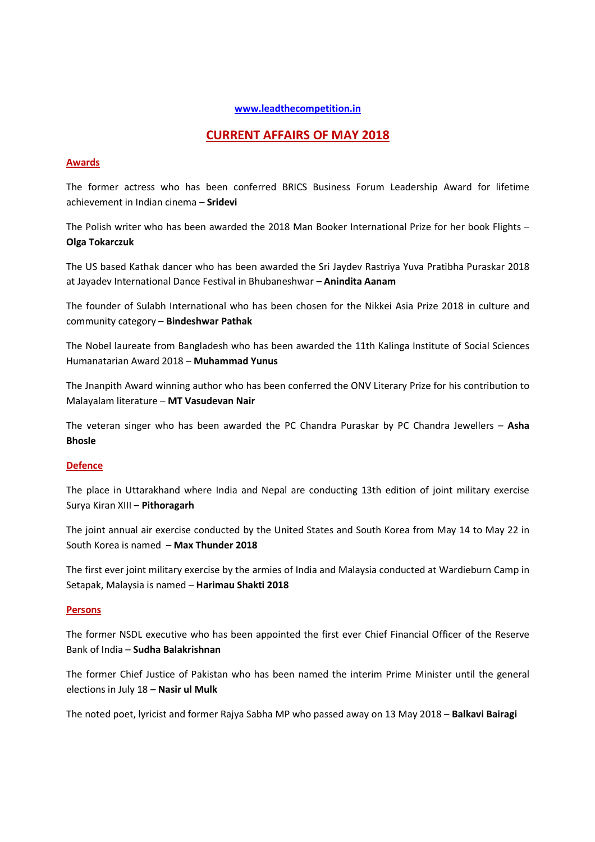#### **www.leadthecompetition.in**

# **CURRENT AFFAIRS OF MAY 2018**

## **Awards**

The former actress who has been conferred BRICS Business Forum Leadership Award for lifetime achievement in Indian cinema – **Sridevi**

The Polish writer who has been awarded the 2018 Man Booker International Prize for her book Flights – **Olga Tokarczuk**

The US based Kathak dancer who has been awarded the Sri Jaydev Rastriya Yuva Pratibha Puraskar 2018 at Jayadev International Dance Festival in Bhubaneshwar – **Anindita Aanam**

The founder of Sulabh International who has been chosen for the Nikkei Asia Prize 2018 in culture and community category – **Bindeshwar Pathak**

The Nobel laureate from Bangladesh who has been awarded the 11th Kalinga Institute of Social Sciences Humanatarian Award 2018 – **Muhammad Yunus**

The Jnanpith Award winning author who has been conferred the ONV Literary Prize for his contribution to Malayalam literature – **MT Vasudevan Nair**

The veteran singer who has been awarded the PC Chandra Puraskar by PC Chandra Jewellers – **Asha Bhosle** 

# **Defence**

The place in Uttarakhand where India and Nepal are conducting 13th edition of joint military exercise Surya Kiran XIII – **Pithoragarh**

The joint annual air exercise conducted by the United States and South Korea from May 14 to May 22 in South Korea is named – **Max Thunder 2018**

The first ever joint military exercise by the armies of India and Malaysia conducted at Wardieburn Camp in Setapak, Malaysia is named – **Harimau Shakti 2018**

## **Persons**

The former NSDL executive who has been appointed the first ever Chief Financial Officer of the Reserve Bank of India – **Sudha Balakrishnan**

The former Chief Justice of Pakistan who has been named the interim Prime Minister until the general elections in July 18 – **Nasir ul Mulk** 

The noted poet, lyricist and former Rajya Sabha MP who passed away on 13 May 2018 – **Balkavi Bairagi**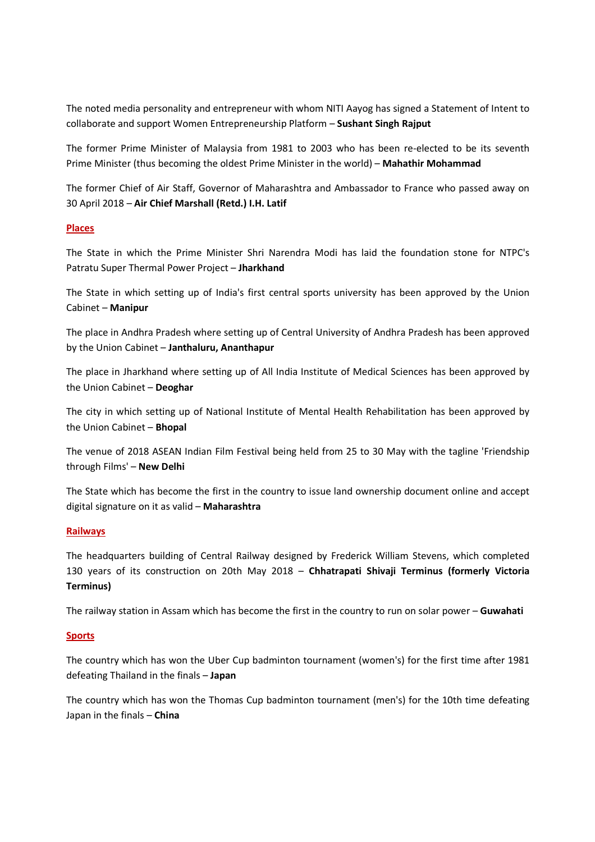The noted media personality and entrepreneur with whom NITI Aayog has signed a Statement of Intent to collaborate and support Women Entrepreneurship Platform – **Sushant Singh Rajput**

The former Prime Minister of Malaysia from 1981 to 2003 who has been re-elected to be its seventh Prime Minister (thus becoming the oldest Prime Minister in the world) – **Mahathir Mohammad**

The former Chief of Air Staff, Governor of Maharashtra and Ambassador to France who passed away on 30 April 2018 – **Air Chief Marshall (Retd.) I.H. Latif** 

## **Places**

The State in which the Prime Minister Shri Narendra Modi has laid the foundation stone for NTPC's Patratu Super Thermal Power Project – **Jharkhand**

The State in which setting up of India's first central sports university has been approved by the Union Cabinet – **Manipur** 

The place in Andhra Pradesh where setting up of Central University of Andhra Pradesh has been approved by the Union Cabinet – **Janthaluru, Ananthapur**

The place in Jharkhand where setting up of All India Institute of Medical Sciences has been approved by the Union Cabinet – **Deoghar**

The city in which setting up of National Institute of Mental Health Rehabilitation has been approved by the Union Cabinet – **Bhopal**

The venue of 2018 ASEAN Indian Film Festival being held from 25 to 30 May with the tagline 'Friendship through Films' – **New Delhi** 

The State which has become the first in the country to issue land ownership document online and accept digital signature on it as valid – **Maharashtra**

#### **Railways**

The headquarters building of Central Railway designed by Frederick William Stevens, which completed 130 years of its construction on 20th May 2018 – **Chhatrapati Shivaji Terminus (formerly Victoria Terminus)**

The railway station in Assam which has become the first in the country to run on solar power – **Guwahati**

#### **Sports**

The country which has won the Uber Cup badminton tournament (women's) for the first time after 1981 defeating Thailand in the finals – **Japan**

The country which has won the Thomas Cup badminton tournament (men's) for the 10th time defeating Japan in the finals – **China**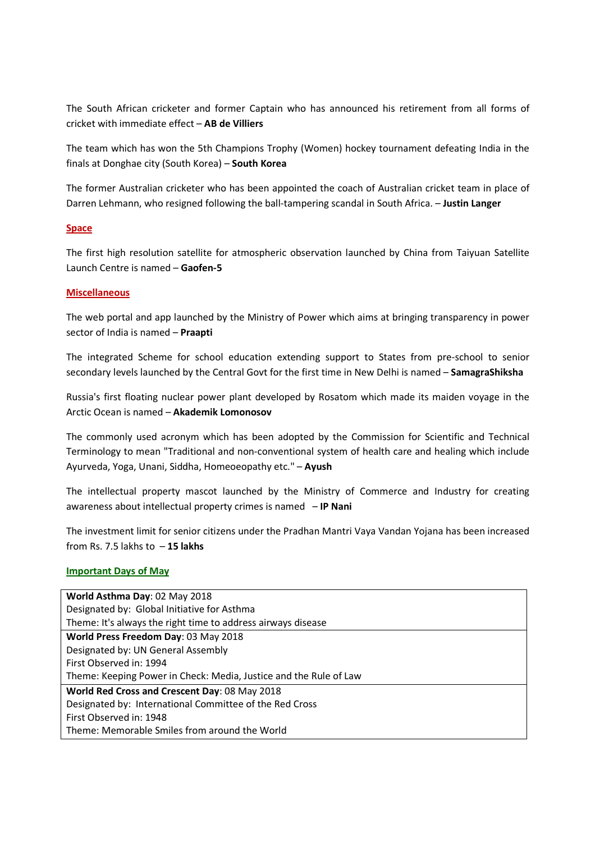The South African cricketer and former Captain who has announced his retirement from all forms of cricket with immediate effect – **AB de Villiers**

The team which has won the 5th Champions Trophy (Women) hockey tournament defeating India in the finals at Donghae city (South Korea) – **South Korea**

The former Australian cricketer who has been appointed the coach of Australian cricket team in place of Darren Lehmann, who resigned following the ball-tampering scandal in South Africa. – **Justin Langer**

# **Space**

The first high resolution satellite for atmospheric observation launched by China from Taiyuan Satellite Launch Centre is named – **Gaofen-5**

## **Miscellaneous**

The web portal and app launched by the Ministry of Power which aims at bringing transparency in power sector of India is named – **Praapti**

The integrated Scheme for school education extending support to States from pre-school to senior secondary levels launched by the Central Govt for the first time in New Delhi is named – **SamagraShiksha**

Russia's first floating nuclear power plant developed by Rosatom which made its maiden voyage in the Arctic Ocean is named – **Akademik Lomonosov**

The commonly used acronym which has been adopted by the Commission for Scientific and Technical Terminology to mean "Traditional and non-conventional system of health care and healing which include Ayurveda, Yoga, Unani, Siddha, Homeoeopathy etc." – **Ayush**

The intellectual property mascot launched by the Ministry of Commerce and Industry for creating awareness about intellectual property crimes is named – **IP Nani**

The investment limit for senior citizens under the Pradhan Mantri Vaya Vandan Yojana has been increased from Rs. 7.5 lakhs to – **15 lakhs**

#### **Important Days of May**

| World Asthma Day: 02 May 2018                                     |
|-------------------------------------------------------------------|
| Designated by: Global Initiative for Asthma                       |
| Theme: It's always the right time to address airways disease      |
| World Press Freedom Day: 03 May 2018                              |
| Designated by: UN General Assembly                                |
| First Observed in: 1994                                           |
| Theme: Keeping Power in Check: Media, Justice and the Rule of Law |
| World Red Cross and Crescent Day: 08 May 2018                     |
| Designated by: International Committee of the Red Cross           |
| First Observed in: 1948                                           |
| Theme: Memorable Smiles from around the World                     |
|                                                                   |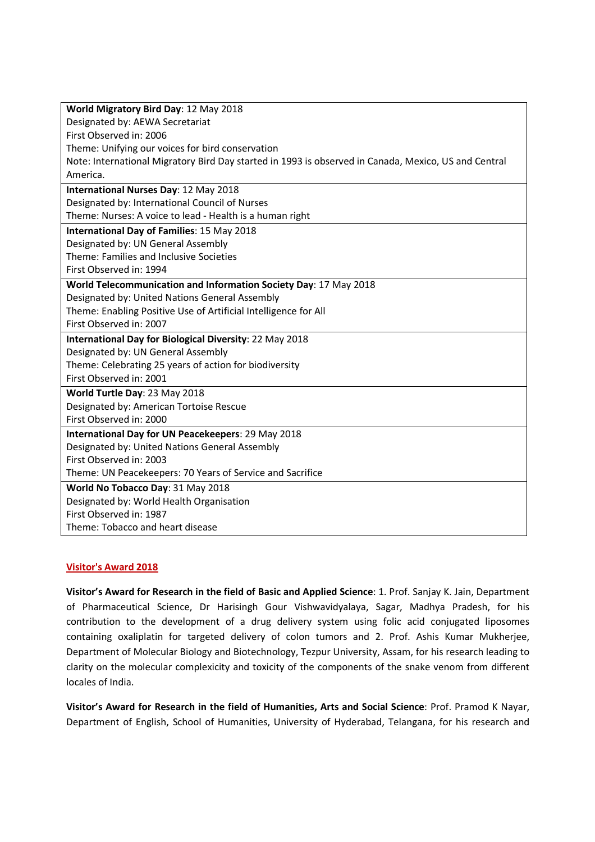| World Migratory Bird Day: 12 May 2018                                                                |
|------------------------------------------------------------------------------------------------------|
| Designated by: AEWA Secretariat                                                                      |
| First Observed in: 2006                                                                              |
| Theme: Unifying our voices for bird conservation                                                     |
| Note: International Migratory Bird Day started in 1993 is observed in Canada, Mexico, US and Central |
| America.                                                                                             |
| International Nurses Day: 12 May 2018                                                                |
| Designated by: International Council of Nurses                                                       |
| Theme: Nurses: A voice to lead - Health is a human right                                             |
| International Day of Families: 15 May 2018                                                           |
| Designated by: UN General Assembly                                                                   |
| Theme: Families and Inclusive Societies                                                              |
| First Observed in: 1994                                                                              |
| World Telecommunication and Information Society Day: 17 May 2018                                     |
| Designated by: United Nations General Assembly                                                       |
| Theme: Enabling Positive Use of Artificial Intelligence for All                                      |
| First Observed in: 2007                                                                              |
| International Day for Biological Diversity: 22 May 2018                                              |
| Designated by: UN General Assembly                                                                   |
| Theme: Celebrating 25 years of action for biodiversity                                               |
| First Observed in: 2001                                                                              |
| World Turtle Day: 23 May 2018                                                                        |
| Designated by: American Tortoise Rescue                                                              |
| First Observed in: 2000                                                                              |
| International Day for UN Peacekeepers: 29 May 2018                                                   |
| Designated by: United Nations General Assembly                                                       |
| First Observed in: 2003                                                                              |
| Theme: UN Peacekeepers: 70 Years of Service and Sacrifice                                            |
| World No Tobacco Day: 31 May 2018                                                                    |
| Designated by: World Health Organisation                                                             |
| First Observed in: 1987                                                                              |
| Theme: Tobacco and heart disease                                                                     |

# **Visitor's Award 2018**

**Visitor's Award for Research in the field of Basic and Applied Science**: 1. Prof. Sanjay K. Jain, Department of Pharmaceutical Science, Dr Harisingh Gour Vishwavidyalaya, Sagar, Madhya Pradesh, for his contribution to the development of a drug delivery system using folic acid conjugated liposomes containing oxaliplatin for targeted delivery of colon tumors and 2. Prof. Ashis Kumar Mukherjee, Department of Molecular Biology and Biotechnology, Tezpur University, Assam, for his research leading to clarity on the molecular complexicity and toxicity of the components of the snake venom from different locales of India.

**Visitor's Award for Research in the field of Humanities, Arts and Social Science**: Prof. Pramod K Nayar, Department of English, School of Humanities, University of Hyderabad, Telangana, for his research and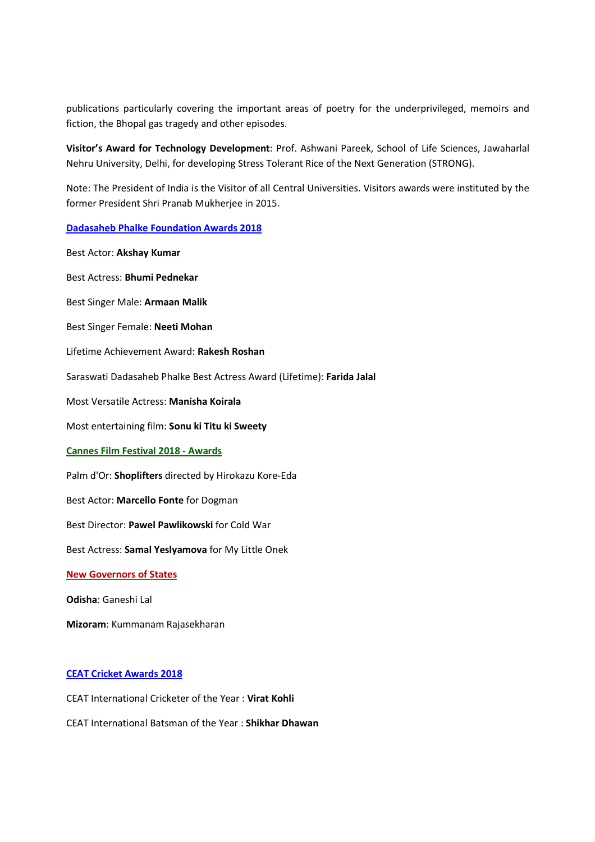publications particularly covering the important areas of poetry for the underprivileged, memoirs and fiction, the Bhopal gas tragedy and other episodes.

**Visitor's Award for Technology Development**: Prof. Ashwani Pareek, School of Life Sciences, Jawaharlal Nehru University, Delhi, for developing Stress Tolerant Rice of the Next Generation (STRONG).

Note: The President of India is the Visitor of all Central Universities. Visitors awards were instituted by the former President Shri Pranab Mukherjee in 2015.

**Dadasaheb Phalke Foundation Awards 2018**

Best Actor: **Akshay Kumar**

Best Actress: **Bhumi Pednekar** Best Singer Male: **Armaan Malik** Best Singer Female: **Neeti Mohan** Lifetime Achievement Award: **Rakesh Roshan** Saraswati Dadasaheb Phalke Best Actress Award (Lifetime): **Farida Jalal** Most Versatile Actress: **Manisha Koirala** Most entertaining film: **Sonu ki Titu ki Sweety Cannes Film Festival 2018 - Awards** Palm d'Or: **Shoplifters** directed by Hirokazu Kore-Eda Best Actor: **Marcello Fonte** for Dogman Best Director: **Pawel Pawlikowski** for Cold War Best Actress: **Samal Yeslyamova** for My Little Onek **New Governors of States Odisha**: Ganeshi Lal **Mizoram**: Kummanam Rajasekharan

# **CEAT Cricket Awards 2018**

- CEAT International Cricketer of the Year : **Virat Kohli**
- CEAT International Batsman of the Year : **Shikhar Dhawan**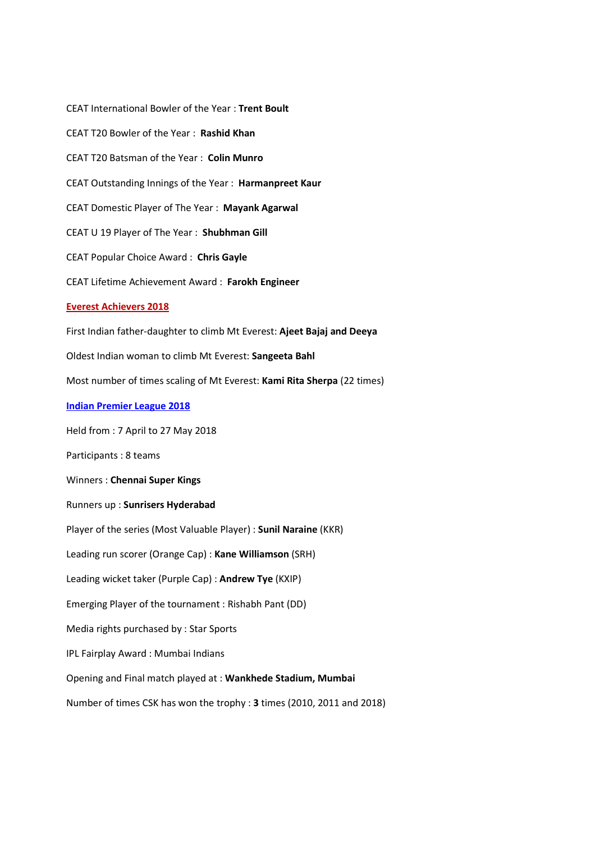CEAT International Bowler of the Year : **Trent Boult** CEAT T20 Bowler of the Year : **Rashid Khan** CEAT T20 Batsman of the Year : **Colin Munro** CEAT Outstanding Innings of the Year : **Harmanpreet Kaur** CEAT Domestic Player of The Year : **Mayank Agarwal** CEAT U 19 Player of The Year : **Shubhman Gill** CEAT Popular Choice Award : **Chris Gayle** CEAT Lifetime Achievement Award : **Farokh Engineer Everest Achievers 2018** First Indian father-daughter to climb Mt Everest: **Ajeet Bajaj and Deeya** Oldest Indian woman to climb Mt Everest: **Sangeeta Bahl** Most number of times scaling of Mt Everest: **Kami Rita Sherpa** (22 times) **Indian Premier League 2018** Held from : 7 April to 27 May 2018 Participants : 8 teams Winners : **Chennai Super Kings** Runners up : **Sunrisers Hyderabad** Player of the series (Most Valuable Player) : **Sunil Naraine** (KKR) Leading run scorer (Orange Cap) : **Kane Williamson** (SRH) Leading wicket taker (Purple Cap) : **Andrew Tye** (KXIP) Emerging Player of the tournament : Rishabh Pant (DD) Media rights purchased by : Star Sports IPL Fairplay Award : Mumbai Indians Opening and Final match played at : **Wankhede Stadium, Mumbai** Number of times CSK has won the trophy : **3** times (2010, 2011 and 2018)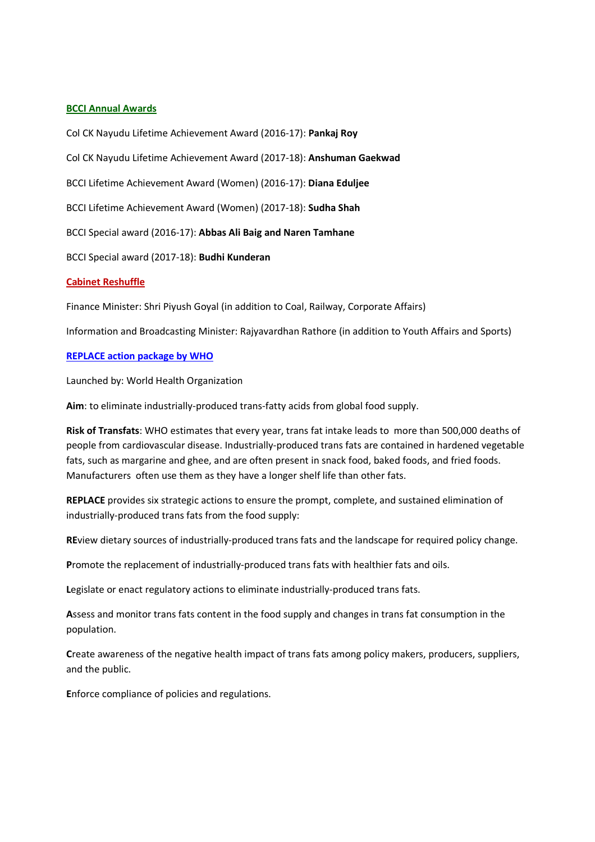#### **BCCI Annual Awards**

Col CK Nayudu Lifetime Achievement Award (2016-17): **Pankaj Roy**

Col CK Nayudu Lifetime Achievement Award (2017-18): **Anshuman Gaekwad**

BCCI Lifetime Achievement Award (Women) (2016-17): **Diana Eduljee**

BCCI Lifetime Achievement Award (Women) (2017-18): **Sudha Shah**

BCCI Special award (2016-17): **Abbas Ali Baig and Naren Tamhane**

BCCI Special award (2017-18): **Budhi Kunderan**

#### **Cabinet Reshuffle**

Finance Minister: Shri Piyush Goyal (in addition to Coal, Railway, Corporate Affairs)

Information and Broadcasting Minister: Rajyavardhan Rathore (in addition to Youth Affairs and Sports)

#### **REPLACE action package by WHO**

Launched by: World Health Organization

**Aim**: to eliminate industrially-produced trans-fatty acids from global food supply.

**Risk of Transfats**: WHO estimates that every year, trans fat intake leads to more than 500,000 deaths of people from cardiovascular disease. Industrially-produced trans fats are contained in hardened vegetable fats, such as margarine and ghee, and are often present in snack food, baked foods, and fried foods. Manufacturers often use them as they have a longer shelf life than other fats.

**REPLACE** provides six strategic actions to ensure the prompt, complete, and sustained elimination of industrially-produced trans fats from the food supply:

**RE**view dietary sources of industrially-produced trans fats and the landscape for required policy change.

**P**romote the replacement of industrially-produced trans fats with healthier fats and oils.

**L**egislate or enact regulatory actions to eliminate industrially-produced trans fats.

**A**ssess and monitor trans fats content in the food supply and changes in trans fat consumption in the population.

**C**reate awareness of the negative health impact of trans fats among policy makers, producers, suppliers, and the public.

**E**nforce compliance of policies and regulations.